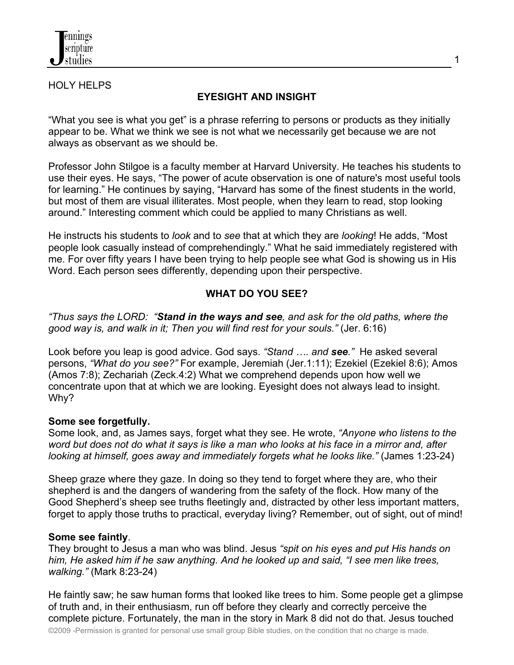

### HOLY HELPS

## **EYESIGHT AND INSIGHT**

"What you see is what you get" is a phrase referring to persons or products as they initially appear to be. What we think we see is not what we necessarily get because we are not always as observant as we should be.

Professor John Stilgoe is a faculty member at Harvard University. He teaches his students to use their eyes. He says, "The power of acute observation is one of nature's most useful tools for learning." He continues by saying, "Harvard has some of the finest students in the world, but most of them are visual illiterates. Most people, when they learn to read, stop looking around." Interesting comment which could be applied to many Christians as well.

He instructs his students to *look* and to *see* that at which they are *looking*! He adds, "Most people look casually instead of comprehendingly." What he said immediately registered with me. For over fifty years I have been trying to help people see what God is showing us in His Word. Each person sees differently, depending upon their perspective.

## **WHAT DO YOU SEE?**

*"Thus says the LORD: "Stand in the ways and see, and ask for the old paths, where the good way is, and walk in it; Then you will find rest for your souls."* (Jer. 6:16)

Look before you leap is good advice. God says. *"Stand …. and see."* He asked several persons, *"What do you see?"* For example, Jeremiah (Jer.1:11); Ezekiel (Ezekiel 8:6); Amos (Amos 7:8); Zechariah (Zeck.4:2) What we comprehend depends upon how well we concentrate upon that at which we are looking. Eyesight does not always lead to insight. Why?

### **Some see forgetfully.**

Some look, and, as James says, forget what they see. He wrote, *"Anyone who listens to the word but does not do what it says is like a man who looks at his face in a mirror and, after looking at himself, goes away and immediately forgets what he looks like."* (James 1:23-24)

Sheep graze where they gaze. In doing so they tend to forget where they are, who their shepherd is and the dangers of wandering from the safety of the flock. How many of the Good Shepherd's sheep see truths fleetingly and, distracted by other less important matters, forget to apply those truths to practical, everyday living? Remember, out of sight, out of mind!

### **Some see faintly**.

They brought to Jesus a man who was blind. Jesus *"spit on his eyes and put His hands on him, He asked him if he saw anything. And he looked up and said, "I see men like trees, walking."* (Mark 8:23-24)

He faintly saw; he saw human forms that looked like trees to him. Some people get a glimpse of truth and, in their enthusiasm, run off before they clearly and correctly perceive the complete picture. Fortunately, the man in the story in Mark 8 did not do that. Jesus touched

©2009 -Permission is granted for personal use small group Bible studies, on the condition that no charge is made.